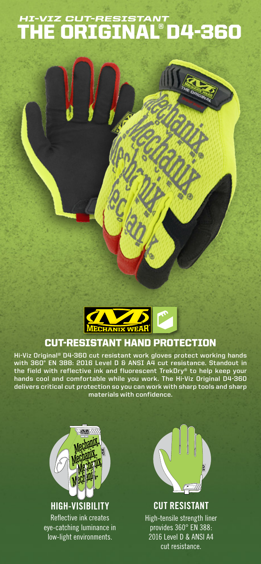# THE ORIGINAL®D4-360 *HI-VIZ CUT-RESISTANT*



## CUT-RESISTANT HAND PROTECTION

**Hi-Viz Original® D4-360 cut resistant work gloves protect working hands with 360° EN 388: 2016 Level D & ANSI A4 cut resistance. Standout in the field with reflective ink and fluorescent TrekDry® to help keep your hands cool and comfortable while you work. The Hi-Viz Original D4-360 delivers critical cut protection so you can work with sharp tools and sharp materials with confidence.**





**CUT RESISTANT** High-tensile strength liner provides 360° EN 388: 2016 Level D & ANSI A4 cut resistance.